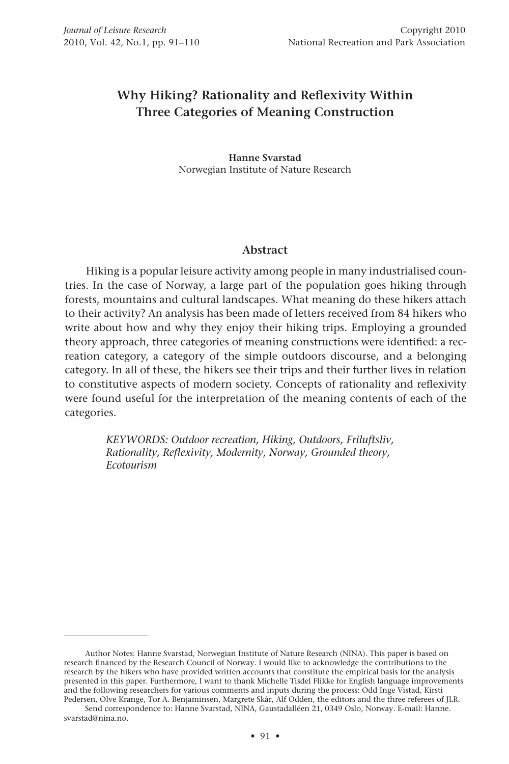# **Why Hiking? Rationality and Reflexivity Within Three Categories of Meaning Construction**

**Hanne Svarstad** Norwegian Institute of Nature Research

### **Abstract**

Hiking is a popular leisure activity among people in many industrialised countries. In the case of Norway, a large part of the population goes hiking through forests, mountains and cultural landscapes. What meaning do these hikers attach to their activity? An analysis has been made of letters received from 84 hikers who write about how and why they enjoy their hiking trips. Employing a grounded theory approach, three categories of meaning constructions were identified: a recreation category, a category of the simple outdoors discourse, and a belonging category. In all of these, the hikers see their trips and their further lives in relation to constitutive aspects of modern society. Concepts of rationality and reflexivity were found useful for the interpretation of the meaning contents of each of the categories.

> *KEYWORDS: Outdoor recreation, Hiking, Outdoors, Friluftsliv, Rationality, Reflexivity, Modernity, Norway, Grounded theory, Ecotourism*

Author Notes: Hanne Svarstad, Norwegian Institute of Nature Research (NINA). This paper is based on research financed by the Research Council of Norway. I would like to acknowledge the contributions to the research by the hikers who have provided written accounts that constitute the empirical basis for the analysis presented in this paper. Furthermore, I want to thank Michelle Tisdel Flikke for English language improvements and the following researchers for various comments and inputs during the process: Odd Inge Vistad, Kirsti Pedersen, Olve Krange, Tor A. Benjaminsen, Margrete Skår, Alf Odden, the editors and the three referees of JLR.

Send correspondence to: Hanne Svarstad, NINA, Gaustadalléen 21, 0349 Oslo, Norway. E-mail: Hanne. svarstad@nina.no.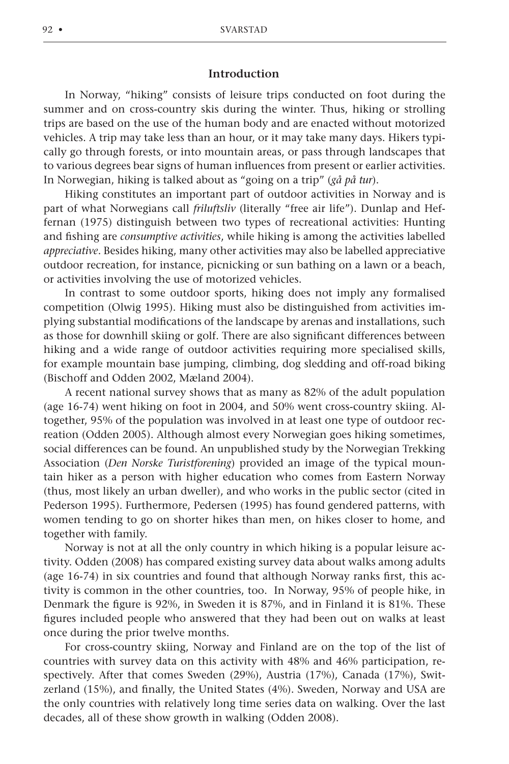#### **Introduction**

In Norway, "hiking" consists of leisure trips conducted on foot during the summer and on cross-country skis during the winter. Thus, hiking or strolling trips are based on the use of the human body and are enacted without motorized vehicles. A trip may take less than an hour, or it may take many days. Hikers typically go through forests, or into mountain areas, or pass through landscapes that to various degrees bear signs of human influences from present or earlier activities. In Norwegian, hiking is talked about as "going on a trip" (*gå på tur*).

Hiking constitutes an important part of outdoor activities in Norway and is part of what Norwegians call *friluftsliv* (literally "free air life"). Dunlap and Heffernan (1975) distinguish between two types of recreational activities: Hunting and fishing are *consumptive activities*, while hiking is among the activities labelled *appreciative*. Besides hiking, many other activities may also be labelled appreciative outdoor recreation, for instance, picnicking or sun bathing on a lawn or a beach, or activities involving the use of motorized vehicles.

In contrast to some outdoor sports, hiking does not imply any formalised competition (Olwig 1995). Hiking must also be distinguished from activities implying substantial modifications of the landscape by arenas and installations, such as those for downhill skiing or golf. There are also significant differences between hiking and a wide range of outdoor activities requiring more specialised skills, for example mountain base jumping, climbing, dog sledding and off-road biking (Bischoff and Odden 2002, Mæland 2004).

A recent national survey shows that as many as 82% of the adult population (age 16-74) went hiking on foot in 2004, and 50% went cross-country skiing. Altogether, 95% of the population was involved in at least one type of outdoor recreation (Odden 2005). Although almost every Norwegian goes hiking sometimes, social differences can be found. An unpublished study by the Norwegian Trekking Association (*Den Norske Turistforening*) provided an image of the typical mountain hiker as a person with higher education who comes from Eastern Norway (thus, most likely an urban dweller), and who works in the public sector (cited in Pederson 1995). Furthermore, Pedersen (1995) has found gendered patterns, with women tending to go on shorter hikes than men, on hikes closer to home, and together with family.

Norway is not at all the only country in which hiking is a popular leisure activity. Odden (2008) has compared existing survey data about walks among adults (age 16-74) in six countries and found that although Norway ranks first, this activity is common in the other countries, too. In Norway, 95% of people hike, in Denmark the figure is 92%, in Sweden it is 87%, and in Finland it is 81%. These figures included people who answered that they had been out on walks at least once during the prior twelve months.

For cross-country skiing, Norway and Finland are on the top of the list of countries with survey data on this activity with 48% and 46% participation, respectively. After that comes Sweden (29%), Austria (17%), Canada (17%), Switzerland (15%), and finally, the United States (4%). Sweden, Norway and USA are the only countries with relatively long time series data on walking. Over the last decades, all of these show growth in walking (Odden 2008).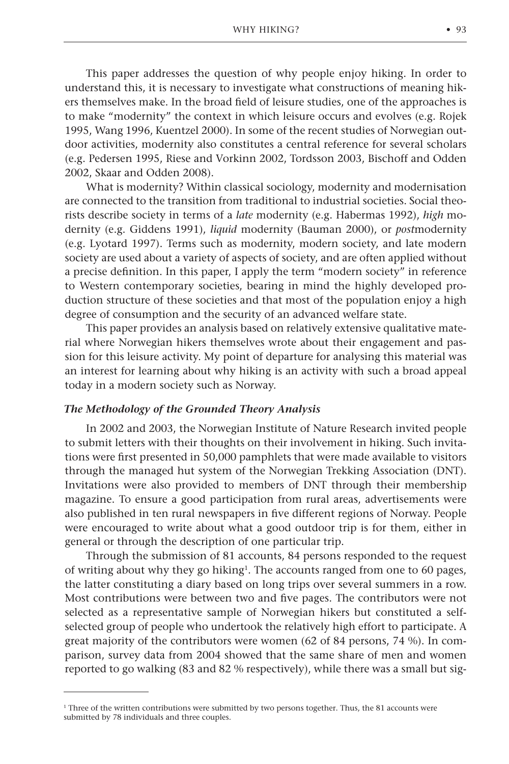This paper addresses the question of why people enjoy hiking. In order to understand this, it is necessary to investigate what constructions of meaning hikers themselves make. In the broad field of leisure studies, one of the approaches is to make "modernity" the context in which leisure occurs and evolves (e.g. Rojek 1995, Wang 1996, Kuentzel 2000). In some of the recent studies of Norwegian outdoor activities, modernity also constitutes a central reference for several scholars (e.g. Pedersen 1995, Riese and Vorkinn 2002, Tordsson 2003, Bischoff and Odden 2002, Skaar and Odden 2008).

What is modernity? Within classical sociology, modernity and modernisation are connected to the transition from traditional to industrial societies. Social theorists describe society in terms of a *late* modernity (e.g. Habermas 1992), *high* modernity (e.g. Giddens 1991), *liquid* modernity (Bauman 2000), or *post*modernity (e.g. Lyotard 1997). Terms such as modernity, modern society, and late modern society are used about a variety of aspects of society, and are often applied without a precise definition. In this paper, I apply the term "modern society" in reference to Western contemporary societies, bearing in mind the highly developed production structure of these societies and that most of the population enjoy a high degree of consumption and the security of an advanced welfare state.

This paper provides an analysis based on relatively extensive qualitative material where Norwegian hikers themselves wrote about their engagement and passion for this leisure activity. My point of departure for analysing this material was an interest for learning about why hiking is an activity with such a broad appeal today in a modern society such as Norway.

### *The Methodology of the Grounded Theory Analysis*

In 2002 and 2003, the Norwegian Institute of Nature Research invited people to submit letters with their thoughts on their involvement in hiking. Such invitations were first presented in 50,000 pamphlets that were made available to visitors through the managed hut system of the Norwegian Trekking Association (DNT). Invitations were also provided to members of DNT through their membership magazine. To ensure a good participation from rural areas, advertisements were also published in ten rural newspapers in five different regions of Norway. People were encouraged to write about what a good outdoor trip is for them, either in general or through the description of one particular trip.

Through the submission of 81 accounts, 84 persons responded to the request of writing about why they go hiking<sup>1</sup>. The accounts ranged from one to 60 pages, the latter constituting a diary based on long trips over several summers in a row. Most contributions were between two and five pages. The contributors were not selected as a representative sample of Norwegian hikers but constituted a selfselected group of people who undertook the relatively high effort to participate. A great majority of the contributors were women (62 of 84 persons, 74 %). In comparison, survey data from 2004 showed that the same share of men and women reported to go walking (83 and 82 % respectively), while there was a small but sig-

<sup>&</sup>lt;sup>1</sup> Three of the written contributions were submitted by two persons together. Thus, the 81 accounts were submitted by 78 individuals and three couples.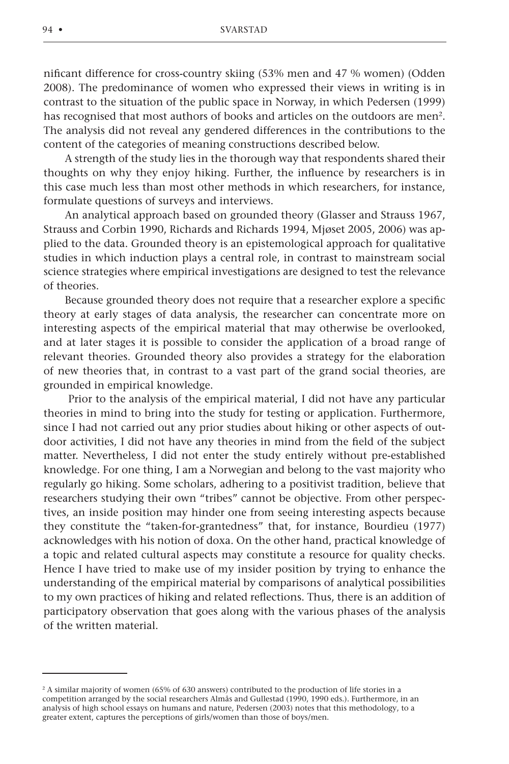nificant difference for cross-country skiing (53% men and 47 % women) (Odden 2008). The predominance of women who expressed their views in writing is in contrast to the situation of the public space in Norway, in which Pedersen (1999) has recognised that most authors of books and articles on the outdoors are men<sup>2</sup>. The analysis did not reveal any gendered differences in the contributions to the content of the categories of meaning constructions described below.

A strength of the study lies in the thorough way that respondents shared their thoughts on why they enjoy hiking. Further, the influence by researchers is in this case much less than most other methods in which researchers, for instance, formulate questions of surveys and interviews.

An analytical approach based on grounded theory (Glasser and Strauss 1967, Strauss and Corbin 1990, Richards and Richards 1994, Mjøset 2005, 2006) was applied to the data. Grounded theory is an epistemological approach for qualitative studies in which induction plays a central role, in contrast to mainstream social science strategies where empirical investigations are designed to test the relevance of theories.

Because grounded theory does not require that a researcher explore a specific theory at early stages of data analysis, the researcher can concentrate more on interesting aspects of the empirical material that may otherwise be overlooked, and at later stages it is possible to consider the application of a broad range of relevant theories. Grounded theory also provides a strategy for the elaboration of new theories that, in contrast to a vast part of the grand social theories, are grounded in empirical knowledge.

 Prior to the analysis of the empirical material, I did not have any particular theories in mind to bring into the study for testing or application. Furthermore, since I had not carried out any prior studies about hiking or other aspects of outdoor activities, I did not have any theories in mind from the field of the subject matter. Nevertheless, I did not enter the study entirely without pre-established knowledge. For one thing, I am a Norwegian and belong to the vast majority who regularly go hiking. Some scholars, adhering to a positivist tradition, believe that researchers studying their own "tribes" cannot be objective. From other perspectives, an inside position may hinder one from seeing interesting aspects because they constitute the "taken-for-grantedness" that, for instance, Bourdieu (1977) acknowledges with his notion of doxa. On the other hand, practical knowledge of a topic and related cultural aspects may constitute a resource for quality checks. Hence I have tried to make use of my insider position by trying to enhance the understanding of the empirical material by comparisons of analytical possibilities to my own practices of hiking and related reflections. Thus, there is an addition of participatory observation that goes along with the various phases of the analysis of the written material.

<sup>2</sup> A similar majority of women (65% of 630 answers) contributed to the production of life stories in a competition arranged by the social researchers Almås and Gullestad (1990, 1990 eds.). Furthermore, in an analysis of high school essays on humans and nature, Pedersen (2003) notes that this methodology, to a greater extent, captures the perceptions of girls/women than those of boys/men.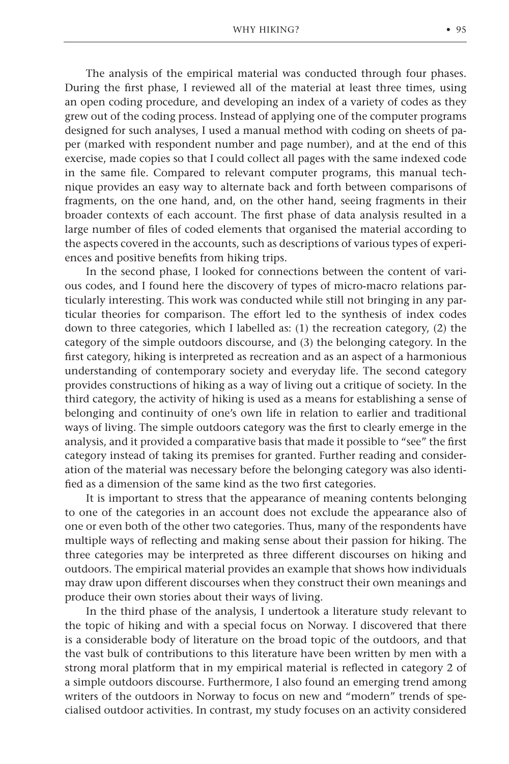The analysis of the empirical material was conducted through four phases. During the first phase, I reviewed all of the material at least three times, using an open coding procedure, and developing an index of a variety of codes as they grew out of the coding process. Instead of applying one of the computer programs designed for such analyses, I used a manual method with coding on sheets of paper (marked with respondent number and page number), and at the end of this exercise, made copies so that I could collect all pages with the same indexed code in the same file. Compared to relevant computer programs, this manual technique provides an easy way to alternate back and forth between comparisons of fragments, on the one hand, and, on the other hand, seeing fragments in their broader contexts of each account. The first phase of data analysis resulted in a large number of files of coded elements that organised the material according to the aspects covered in the accounts, such as descriptions of various types of experiences and positive benefits from hiking trips.

In the second phase, I looked for connections between the content of various codes, and I found here the discovery of types of micro-macro relations particularly interesting. This work was conducted while still not bringing in any particular theories for comparison. The effort led to the synthesis of index codes down to three categories, which I labelled as: (1) the recreation category, (2) the category of the simple outdoors discourse, and (3) the belonging category. In the first category, hiking is interpreted as recreation and as an aspect of a harmonious understanding of contemporary society and everyday life. The second category provides constructions of hiking as a way of living out a critique of society. In the third category, the activity of hiking is used as a means for establishing a sense of belonging and continuity of one's own life in relation to earlier and traditional ways of living. The simple outdoors category was the first to clearly emerge in the analysis, and it provided a comparative basis that made it possible to "see" the first category instead of taking its premises for granted. Further reading and consideration of the material was necessary before the belonging category was also identified as a dimension of the same kind as the two first categories.

It is important to stress that the appearance of meaning contents belonging to one of the categories in an account does not exclude the appearance also of one or even both of the other two categories. Thus, many of the respondents have multiple ways of reflecting and making sense about their passion for hiking. The three categories may be interpreted as three different discourses on hiking and outdoors. The empirical material provides an example that shows how individuals may draw upon different discourses when they construct their own meanings and produce their own stories about their ways of living.

In the third phase of the analysis, I undertook a literature study relevant to the topic of hiking and with a special focus on Norway. I discovered that there is a considerable body of literature on the broad topic of the outdoors, and that the vast bulk of contributions to this literature have been written by men with a strong moral platform that in my empirical material is reflected in category 2 of a simple outdoors discourse. Furthermore, I also found an emerging trend among writers of the outdoors in Norway to focus on new and "modern" trends of specialised outdoor activities. In contrast, my study focuses on an activity considered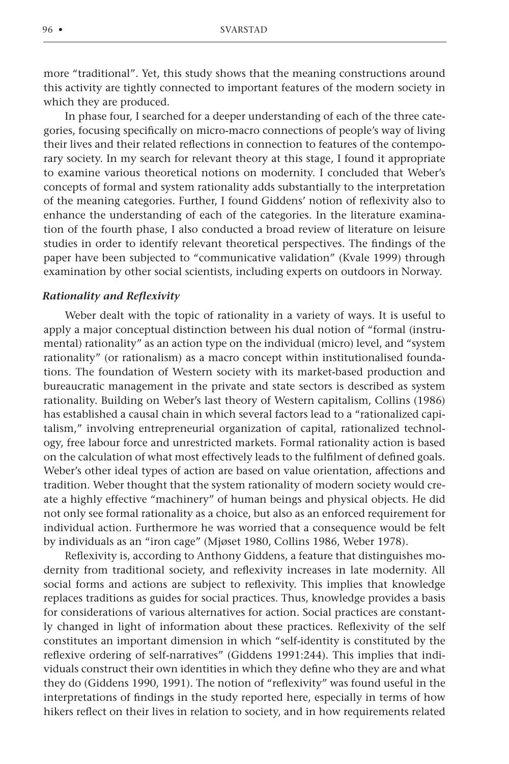more "traditional". Yet, this study shows that the meaning constructions around this activity are tightly connected to important features of the modern society in which they are produced.

In phase four, I searched for a deeper understanding of each of the three categories, focusing specifically on micro-macro connections of people's way of living their lives and their related reflections in connection to features of the contemporary society. In my search for relevant theory at this stage, I found it appropriate to examine various theoretical notions on modernity. I concluded that Weber's concepts of formal and system rationality adds substantially to the interpretation of the meaning categories. Further, I found Giddens' notion of reflexivity also to enhance the understanding of each of the categories. In the literature examination of the fourth phase, I also conducted a broad review of literature on leisure studies in order to identify relevant theoretical perspectives. The findings of the paper have been subjected to "communicative validation" (Kvale 1999) through examination by other social scientists, including experts on outdoors in Norway.

### *Rationality and Reflexivity*

Weber dealt with the topic of rationality in a variety of ways. It is useful to apply a major conceptual distinction between his dual notion of "formal (instrumental) rationality" as an action type on the individual (micro) level, and "system rationality" (or rationalism) as a macro concept within institutionalised foundations. The foundation of Western society with its market-based production and bureaucratic management in the private and state sectors is described as system rationality. Building on Weber's last theory of Western capitalism, Collins (1986) has established a causal chain in which several factors lead to a "rationalized capitalism," involving entrepreneurial organization of capital, rationalized technology, free labour force and unrestricted markets. Formal rationality action is based on the calculation of what most effectively leads to the fulfilment of defined goals. Weber's other ideal types of action are based on value orientation, affections and tradition. Weber thought that the system rationality of modern society would create a highly effective "machinery" of human beings and physical objects. He did not only see formal rationality as a choice, but also as an enforced requirement for individual action. Furthermore he was worried that a consequence would be felt by individuals as an "iron cage" (Mjøset 1980, Collins 1986, Weber 1978).

Reflexivity is, according to Anthony Giddens, a feature that distinguishes modernity from traditional society, and reflexivity increases in late modernity. All social forms and actions are subject to reflexivity. This implies that knowledge replaces traditions as guides for social practices. Thus, knowledge provides a basis for considerations of various alternatives for action. Social practices are constantly changed in light of information about these practices. Reflexivity of the self constitutes an important dimension in which "self-identity is constituted by the reflexive ordering of self-narratives" (Giddens 1991:244). This implies that individuals construct their own identities in which they define who they are and what they do (Giddens 1990, 1991). The notion of "reflexivity" was found useful in the interpretations of findings in the study reported here, especially in terms of how hikers reflect on their lives in relation to society, and in how requirements related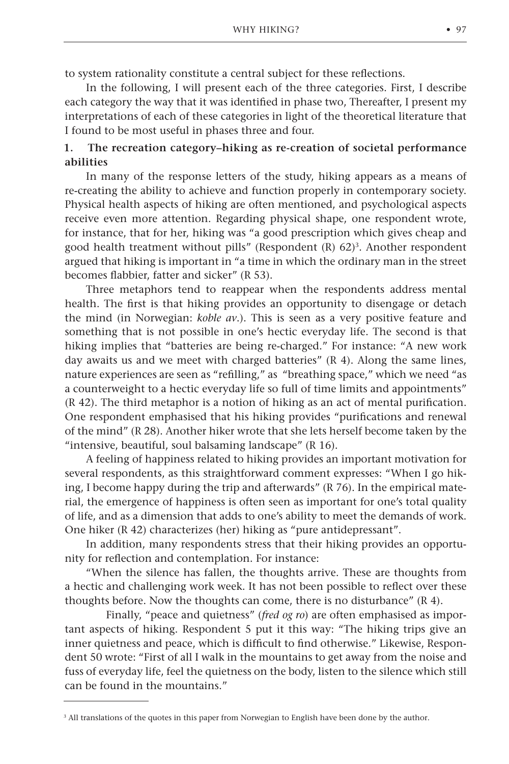to system rationality constitute a central subject for these reflections.

In the following, I will present each of the three categories. First, I describe each category the way that it was identified in phase two, Thereafter, I present my interpretations of each of these categories in light of the theoretical literature that I found to be most useful in phases three and four.

# **1. The recreation category–hiking as re-creation of societal performance abilities**

In many of the response letters of the study, hiking appears as a means of re-creating the ability to achieve and function properly in contemporary society. Physical health aspects of hiking are often mentioned, and psychological aspects receive even more attention. Regarding physical shape, one respondent wrote, for instance, that for her, hiking was "a good prescription which gives cheap and good health treatment without pills" (Respondent  $(R)$  62)<sup>3</sup>. Another respondent argued that hiking is important in "a time in which the ordinary man in the street becomes flabbier, fatter and sicker" (R 53).

Three metaphors tend to reappear when the respondents address mental health. The first is that hiking provides an opportunity to disengage or detach the mind (in Norwegian: *koble av*.). This is seen as a very positive feature and something that is not possible in one's hectic everyday life. The second is that hiking implies that "batteries are being re-charged." For instance: "A new work day awaits us and we meet with charged batteries" (R 4). Along the same lines, nature experiences are seen as "refilling," as "breathing space," which we need "as a counterweight to a hectic everyday life so full of time limits and appointments" (R 42). The third metaphor is a notion of hiking as an act of mental purification. One respondent emphasised that his hiking provides "purifications and renewal of the mind" (R 28). Another hiker wrote that she lets herself become taken by the "intensive, beautiful, soul balsaming landscape" (R 16).

A feeling of happiness related to hiking provides an important motivation for several respondents, as this straightforward comment expresses: "When I go hiking, I become happy during the trip and afterwards" (R 76). In the empirical material, the emergence of happiness is often seen as important for one's total quality of life, and as a dimension that adds to one's ability to meet the demands of work. One hiker (R 42) characterizes (her) hiking as "pure antidepressant".

In addition, many respondents stress that their hiking provides an opportunity for reflection and contemplation. For instance:

"When the silence has fallen, the thoughts arrive. These are thoughts from a hectic and challenging work week. It has not been possible to reflect over these thoughts before. Now the thoughts can come, there is no disturbance" (R 4).

Finally, "peace and quietness" (*fred og ro*) are often emphasised as important aspects of hiking. Respondent 5 put it this way: "The hiking trips give an inner quietness and peace, which is difficult to find otherwise." Likewise, Respondent 50 wrote: "First of all I walk in the mountains to get away from the noise and fuss of everyday life, feel the quietness on the body, listen to the silence which still can be found in the mountains."

<sup>&</sup>lt;sup>3</sup> All translations of the quotes in this paper from Norwegian to English have been done by the author.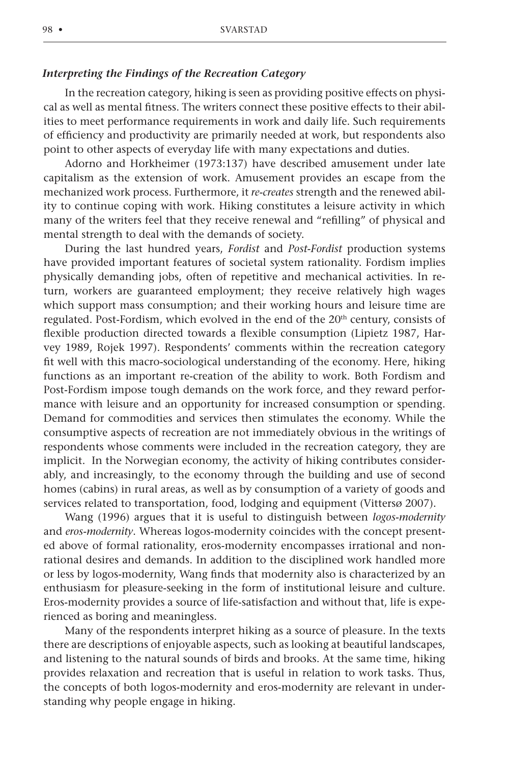### *Interpreting the Findings of the Recreation Category*

In the recreation category, hiking is seen as providing positive effects on physical as well as mental fitness. The writers connect these positive effects to their abilities to meet performance requirements in work and daily life. Such requirements of efficiency and productivity are primarily needed at work, but respondents also point to other aspects of everyday life with many expectations and duties.

Adorno and Horkheimer (1973:137) have described amusement under late capitalism as the extension of work. Amusement provides an escape from the mechanized work process. Furthermore, it *re-creates* strength and the renewed ability to continue coping with work. Hiking constitutes a leisure activity in which many of the writers feel that they receive renewal and "refilling" of physical and mental strength to deal with the demands of society.

During the last hundred years, *Fordist* and *Post-Fordist* production systems have provided important features of societal system rationality. Fordism implies physically demanding jobs, often of repetitive and mechanical activities. In return, workers are guaranteed employment; they receive relatively high wages which support mass consumption; and their working hours and leisure time are regulated. Post-Fordism, which evolved in the end of the 20<sup>th</sup> century, consists of flexible production directed towards a flexible consumption (Lipietz 1987, Harvey 1989, Rojek 1997). Respondents' comments within the recreation category fit well with this macro-sociological understanding of the economy. Here, hiking functions as an important re-creation of the ability to work. Both Fordism and Post-Fordism impose tough demands on the work force, and they reward performance with leisure and an opportunity for increased consumption or spending. Demand for commodities and services then stimulates the economy. While the consumptive aspects of recreation are not immediately obvious in the writings of respondents whose comments were included in the recreation category, they are implicit. In the Norwegian economy, the activity of hiking contributes considerably, and increasingly, to the economy through the building and use of second homes (cabins) in rural areas, as well as by consumption of a variety of goods and services related to transportation, food, lodging and equipment (Vittersø 2007).

Wang (1996) argues that it is useful to distinguish between *logos-modernity* and *eros-modernity*. Whereas logos-modernity coincides with the concept presented above of formal rationality, eros-modernity encompasses irrational and nonrational desires and demands. In addition to the disciplined work handled more or less by logos-modernity, Wang finds that modernity also is characterized by an enthusiasm for pleasure-seeking in the form of institutional leisure and culture. Eros-modernity provides a source of life-satisfaction and without that, life is experienced as boring and meaningless.

Many of the respondents interpret hiking as a source of pleasure. In the texts there are descriptions of enjoyable aspects, such as looking at beautiful landscapes, and listening to the natural sounds of birds and brooks. At the same time, hiking provides relaxation and recreation that is useful in relation to work tasks. Thus, the concepts of both logos-modernity and eros-modernity are relevant in understanding why people engage in hiking.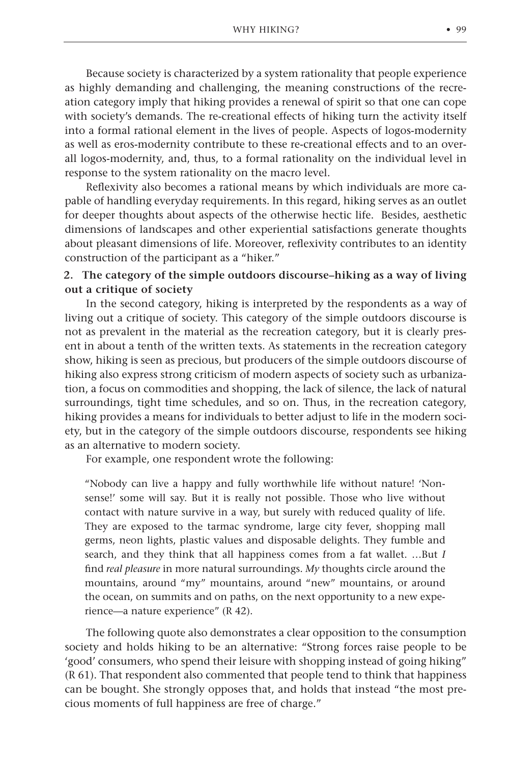Because society is characterized by a system rationality that people experience as highly demanding and challenging, the meaning constructions of the recreation category imply that hiking provides a renewal of spirit so that one can cope with society's demands. The re-creational effects of hiking turn the activity itself into a formal rational element in the lives of people. Aspects of logos-modernity as well as eros-modernity contribute to these re-creational effects and to an overall logos-modernity, and, thus, to a formal rationality on the individual level in response to the system rationality on the macro level.

Reflexivity also becomes a rational means by which individuals are more capable of handling everyday requirements. In this regard, hiking serves as an outlet for deeper thoughts about aspects of the otherwise hectic life. Besides, aesthetic dimensions of landscapes and other experiential satisfactions generate thoughts about pleasant dimensions of life. Moreover, reflexivity contributes to an identity construction of the participant as a "hiker."

## **2. The category of the simple outdoors discourse–hiking as a way of living out a critique of society**

In the second category, hiking is interpreted by the respondents as a way of living out a critique of society. This category of the simple outdoors discourse is not as prevalent in the material as the recreation category, but it is clearly present in about a tenth of the written texts. As statements in the recreation category show, hiking is seen as precious, but producers of the simple outdoors discourse of hiking also express strong criticism of modern aspects of society such as urbanization, a focus on commodities and shopping, the lack of silence, the lack of natural surroundings, tight time schedules, and so on. Thus, in the recreation category, hiking provides a means for individuals to better adjust to life in the modern society, but in the category of the simple outdoors discourse, respondents see hiking as an alternative to modern society.

For example, one respondent wrote the following:

"Nobody can live a happy and fully worthwhile life without nature! 'Nonsense!' some will say. But it is really not possible. Those who live without contact with nature survive in a way, but surely with reduced quality of life. They are exposed to the tarmac syndrome, large city fever, shopping mall germs, neon lights, plastic values and disposable delights. They fumble and search, and they think that all happiness comes from a fat wallet. …But *I* find *real pleasure* in more natural surroundings. *My* thoughts circle around the mountains, around "my" mountains, around "new" mountains, or around the ocean, on summits and on paths, on the next opportunity to a new experience—a nature experience" (R 42).

The following quote also demonstrates a clear opposition to the consumption society and holds hiking to be an alternative: "Strong forces raise people to be 'good' consumers, who spend their leisure with shopping instead of going hiking" (R 61). That respondent also commented that people tend to think that happiness can be bought. She strongly opposes that, and holds that instead "the most precious moments of full happiness are free of charge."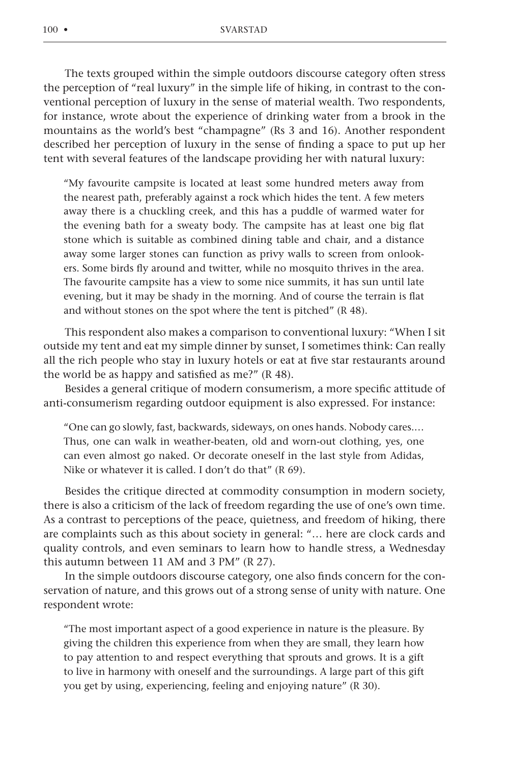The texts grouped within the simple outdoors discourse category often stress the perception of "real luxury" in the simple life of hiking, in contrast to the conventional perception of luxury in the sense of material wealth. Two respondents, for instance, wrote about the experience of drinking water from a brook in the mountains as the world's best "champagne" (Rs 3 and 16). Another respondent described her perception of luxury in the sense of finding a space to put up her tent with several features of the landscape providing her with natural luxury:

"My favourite campsite is located at least some hundred meters away from the nearest path, preferably against a rock which hides the tent. A few meters away there is a chuckling creek, and this has a puddle of warmed water for the evening bath for a sweaty body. The campsite has at least one big flat stone which is suitable as combined dining table and chair, and a distance away some larger stones can function as privy walls to screen from onlookers. Some birds fly around and twitter, while no mosquito thrives in the area. The favourite campsite has a view to some nice summits, it has sun until late evening, but it may be shady in the morning. And of course the terrain is flat and without stones on the spot where the tent is pitched" (R 48).

This respondent also makes a comparison to conventional luxury: "When I sit outside my tent and eat my simple dinner by sunset, I sometimes think: Can really all the rich people who stay in luxury hotels or eat at five star restaurants around the world be as happy and satisfied as me?" (R 48).

Besides a general critique of modern consumerism, a more specific attitude of anti-consumerism regarding outdoor equipment is also expressed. For instance:

"One can go slowly, fast, backwards, sideways, on ones hands. Nobody cares.… Thus, one can walk in weather-beaten, old and worn-out clothing, yes, one can even almost go naked. Or decorate oneself in the last style from Adidas, Nike or whatever it is called. I don't do that" (R 69).

Besides the critique directed at commodity consumption in modern society, there is also a criticism of the lack of freedom regarding the use of one's own time. As a contrast to perceptions of the peace, quietness, and freedom of hiking, there are complaints such as this about society in general: "… here are clock cards and quality controls, and even seminars to learn how to handle stress, a Wednesday this autumn between 11 AM and 3 PM" (R 27).

In the simple outdoors discourse category, one also finds concern for the conservation of nature, and this grows out of a strong sense of unity with nature. One respondent wrote:

"The most important aspect of a good experience in nature is the pleasure. By giving the children this experience from when they are small, they learn how to pay attention to and respect everything that sprouts and grows. It is a gift to live in harmony with oneself and the surroundings. A large part of this gift you get by using, experiencing, feeling and enjoying nature" (R 30).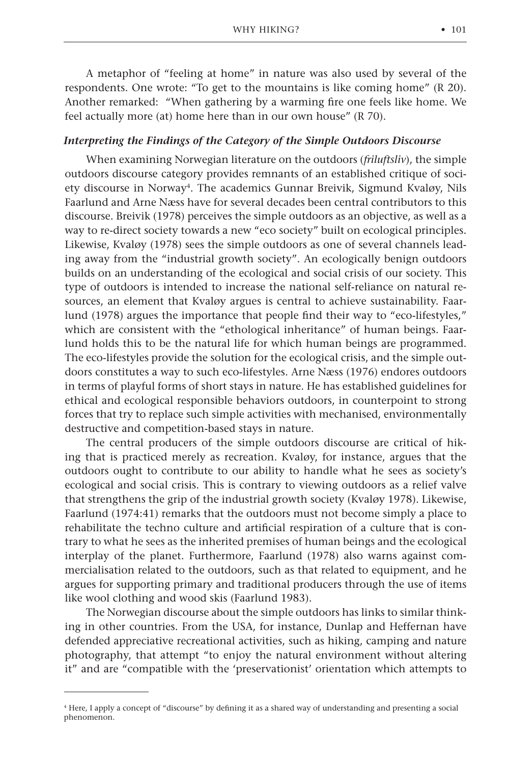A metaphor of "feeling at home" in nature was also used by several of the respondents. One wrote: "To get to the mountains is like coming home" (R 20). Another remarked: "When gathering by a warming fire one feels like home. We feel actually more (at) home here than in our own house" (R 70).

#### *Interpreting the Findings of the Category of the Simple Outdoors Discourse*

When examining Norwegian literature on the outdoors (*friluftsliv*), the simple outdoors discourse category provides remnants of an established critique of society discourse in Norway<sup>4</sup>. The academics Gunnar Breivik, Sigmund Kvaløy, Nils Faarlund and Arne Næss have for several decades been central contributors to this discourse. Breivik (1978) perceives the simple outdoors as an objective, as well as a way to re-direct society towards a new "eco society" built on ecological principles. Likewise, Kvaløy (1978) sees the simple outdoors as one of several channels leading away from the "industrial growth society". An ecologically benign outdoors builds on an understanding of the ecological and social crisis of our society. This type of outdoors is intended to increase the national self-reliance on natural resources, an element that Kvaløy argues is central to achieve sustainability. Faarlund (1978) argues the importance that people find their way to "eco-lifestyles," which are consistent with the "ethological inheritance" of human beings. Faarlund holds this to be the natural life for which human beings are programmed. The eco-lifestyles provide the solution for the ecological crisis, and the simple outdoors constitutes a way to such eco-lifestyles. Arne Næss (1976) endores outdoors in terms of playful forms of short stays in nature. He has established guidelines for ethical and ecological responsible behaviors outdoors, in counterpoint to strong forces that try to replace such simple activities with mechanised, environmentally destructive and competition-based stays in nature.

The central producers of the simple outdoors discourse are critical of hiking that is practiced merely as recreation. Kvaløy, for instance, argues that the outdoors ought to contribute to our ability to handle what he sees as society's ecological and social crisis. This is contrary to viewing outdoors as a relief valve that strengthens the grip of the industrial growth society (Kvaløy 1978). Likewise, Faarlund (1974:41) remarks that the outdoors must not become simply a place to rehabilitate the techno culture and artificial respiration of a culture that is contrary to what he sees as the inherited premises of human beings and the ecological interplay of the planet. Furthermore, Faarlund (1978) also warns against commercialisation related to the outdoors, such as that related to equipment, and he argues for supporting primary and traditional producers through the use of items like wool clothing and wood skis (Faarlund 1983).

The Norwegian discourse about the simple outdoors has links to similar thinking in other countries. From the USA, for instance, Dunlap and Heffernan have defended appreciative recreational activities, such as hiking, camping and nature photography, that attempt "to enjoy the natural environment without altering it" and are "compatible with the 'preservationist' orientation which attempts to

<sup>4</sup> Here, I apply a concept of "discourse" by defining it as a shared way of understanding and presenting a social phenomenon.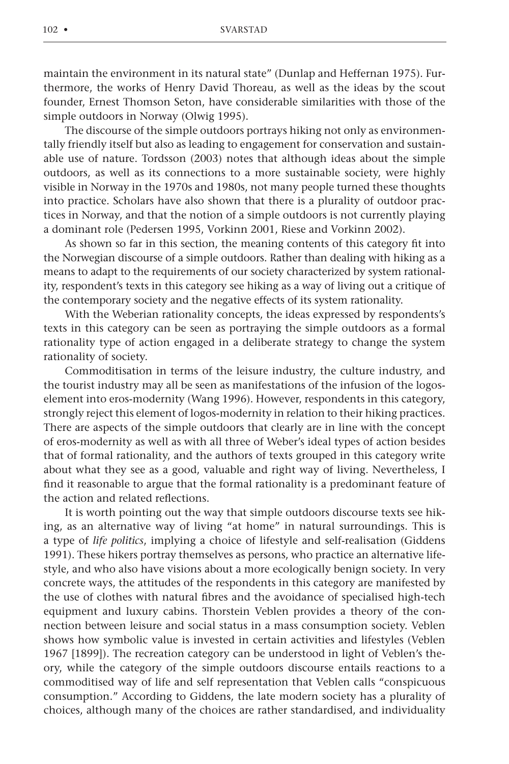maintain the environment in its natural state" (Dunlap and Heffernan 1975). Furthermore, the works of Henry David Thoreau, as well as the ideas by the scout founder, Ernest Thomson Seton, have considerable similarities with those of the simple outdoors in Norway (Olwig 1995).

The discourse of the simple outdoors portrays hiking not only as environmentally friendly itself but also as leading to engagement for conservation and sustainable use of nature. Tordsson (2003) notes that although ideas about the simple outdoors, as well as its connections to a more sustainable society, were highly visible in Norway in the 1970s and 1980s, not many people turned these thoughts into practice. Scholars have also shown that there is a plurality of outdoor practices in Norway, and that the notion of a simple outdoors is not currently playing a dominant role (Pedersen 1995, Vorkinn 2001, Riese and Vorkinn 2002).

As shown so far in this section, the meaning contents of this category fit into the Norwegian discourse of a simple outdoors. Rather than dealing with hiking as a means to adapt to the requirements of our society characterized by system rationality, respondent's texts in this category see hiking as a way of living out a critique of the contemporary society and the negative effects of its system rationality.

With the Weberian rationality concepts, the ideas expressed by respondents's texts in this category can be seen as portraying the simple outdoors as a formal rationality type of action engaged in a deliberate strategy to change the system rationality of society.

Commoditisation in terms of the leisure industry, the culture industry, and the tourist industry may all be seen as manifestations of the infusion of the logoselement into eros-modernity (Wang 1996). However, respondents in this category, strongly reject this element of logos-modernity in relation to their hiking practices. There are aspects of the simple outdoors that clearly are in line with the concept of eros-modernity as well as with all three of Weber's ideal types of action besides that of formal rationality, and the authors of texts grouped in this category write about what they see as a good, valuable and right way of living. Nevertheless, I find it reasonable to argue that the formal rationality is a predominant feature of the action and related reflections.

It is worth pointing out the way that simple outdoors discourse texts see hiking, as an alternative way of living "at home" in natural surroundings. This is a type of *life politics*, implying a choice of lifestyle and self-realisation (Giddens 1991). These hikers portray themselves as persons, who practice an alternative lifestyle, and who also have visions about a more ecologically benign society. In very concrete ways, the attitudes of the respondents in this category are manifested by the use of clothes with natural fibres and the avoidance of specialised high-tech equipment and luxury cabins. Thorstein Veblen provides a theory of the connection between leisure and social status in a mass consumption society. Veblen shows how symbolic value is invested in certain activities and lifestyles (Veblen 1967 [1899]). The recreation category can be understood in light of Veblen's theory, while the category of the simple outdoors discourse entails reactions to a commoditised way of life and self representation that Veblen calls "conspicuous consumption." According to Giddens, the late modern society has a plurality of choices, although many of the choices are rather standardised, and individuality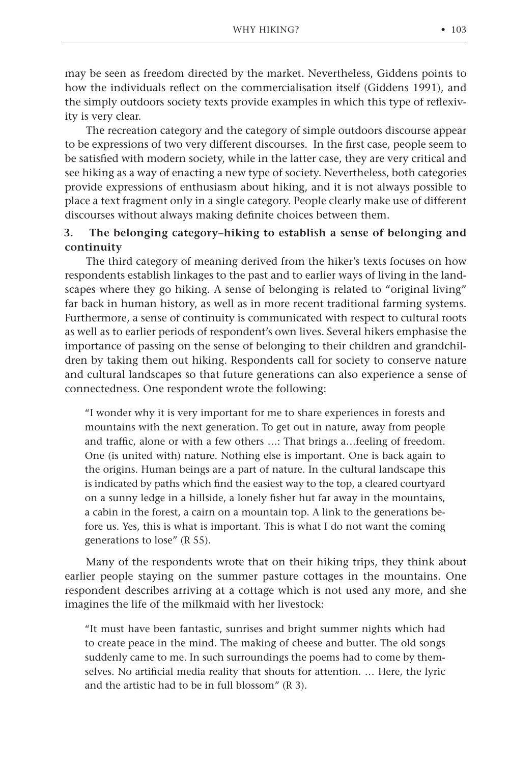may be seen as freedom directed by the market. Nevertheless, Giddens points to how the individuals reflect on the commercialisation itself (Giddens 1991), and the simply outdoors society texts provide examples in which this type of reflexivity is very clear.

The recreation category and the category of simple outdoors discourse appear to be expressions of two very different discourses. In the first case, people seem to be satisfied with modern society, while in the latter case, they are very critical and see hiking as a way of enacting a new type of society. Nevertheless, both categories provide expressions of enthusiasm about hiking, and it is not always possible to place a text fragment only in a single category. People clearly make use of different discourses without always making definite choices between them.

## **3. The belonging category–hiking to establish a sense of belonging and continuity**

The third category of meaning derived from the hiker's texts focuses on how respondents establish linkages to the past and to earlier ways of living in the landscapes where they go hiking. A sense of belonging is related to "original living" far back in human history, as well as in more recent traditional farming systems. Furthermore, a sense of continuity is communicated with respect to cultural roots as well as to earlier periods of respondent's own lives. Several hikers emphasise the importance of passing on the sense of belonging to their children and grandchildren by taking them out hiking. Respondents call for society to conserve nature and cultural landscapes so that future generations can also experience a sense of connectedness. One respondent wrote the following:

"I wonder why it is very important for me to share experiences in forests and mountains with the next generation. To get out in nature, away from people and traffic, alone or with a few others …: That brings a…feeling of freedom. One (is united with) nature. Nothing else is important. One is back again to the origins. Human beings are a part of nature. In the cultural landscape this is indicated by paths which find the easiest way to the top, a cleared courtyard on a sunny ledge in a hillside, a lonely fisher hut far away in the mountains, a cabin in the forest, a cairn on a mountain top. A link to the generations before us. Yes, this is what is important. This is what I do not want the coming generations to lose" (R 55).

Many of the respondents wrote that on their hiking trips, they think about earlier people staying on the summer pasture cottages in the mountains. One respondent describes arriving at a cottage which is not used any more, and she imagines the life of the milkmaid with her livestock:

"It must have been fantastic, sunrises and bright summer nights which had to create peace in the mind. The making of cheese and butter. The old songs suddenly came to me. In such surroundings the poems had to come by themselves. No artificial media reality that shouts for attention. … Here, the lyric and the artistic had to be in full blossom" (R 3).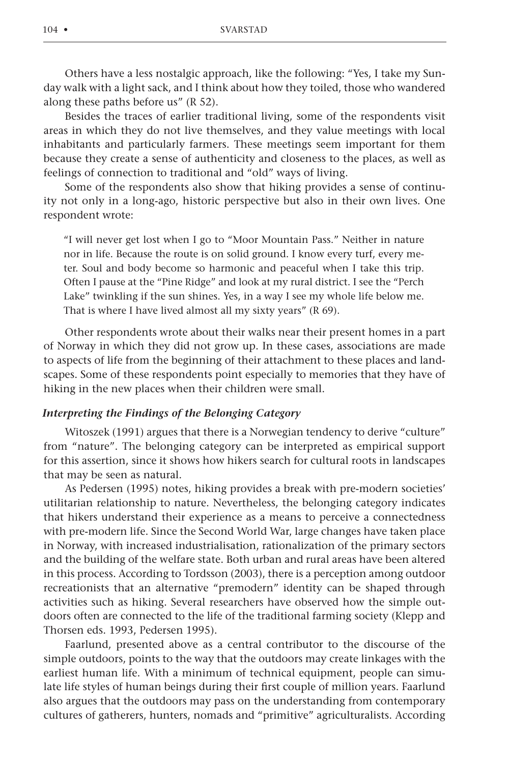Others have a less nostalgic approach, like the following: "Yes, I take my Sunday walk with a light sack, and I think about how they toiled, those who wandered along these paths before us" (R 52).

Besides the traces of earlier traditional living, some of the respondents visit areas in which they do not live themselves, and they value meetings with local inhabitants and particularly farmers. These meetings seem important for them because they create a sense of authenticity and closeness to the places, as well as feelings of connection to traditional and "old" ways of living.

Some of the respondents also show that hiking provides a sense of continuity not only in a long-ago, historic perspective but also in their own lives. One respondent wrote:

"I will never get lost when I go to "Moor Mountain Pass." Neither in nature nor in life. Because the route is on solid ground. I know every turf, every meter. Soul and body become so harmonic and peaceful when I take this trip. Often I pause at the "Pine Ridge" and look at my rural district. I see the "Perch Lake" twinkling if the sun shines. Yes, in a way I see my whole life below me. That is where I have lived almost all my sixty years" (R 69).

Other respondents wrote about their walks near their present homes in a part of Norway in which they did not grow up. In these cases, associations are made to aspects of life from the beginning of their attachment to these places and landscapes. Some of these respondents point especially to memories that they have of hiking in the new places when their children were small.

### *Interpreting the Findings of the Belonging Category*

Witoszek (1991) argues that there is a Norwegian tendency to derive "culture" from "nature". The belonging category can be interpreted as empirical support for this assertion, since it shows how hikers search for cultural roots in landscapes that may be seen as natural.

As Pedersen (1995) notes, hiking provides a break with pre-modern societies' utilitarian relationship to nature. Nevertheless, the belonging category indicates that hikers understand their experience as a means to perceive a connectedness with pre-modern life. Since the Second World War, large changes have taken place in Norway, with increased industrialisation, rationalization of the primary sectors and the building of the welfare state. Both urban and rural areas have been altered in this process. According to Tordsson (2003), there is a perception among outdoor recreationists that an alternative "premodern" identity can be shaped through activities such as hiking. Several researchers have observed how the simple outdoors often are connected to the life of the traditional farming society (Klepp and Thorsen eds. 1993, Pedersen 1995).

Faarlund, presented above as a central contributor to the discourse of the simple outdoors, points to the way that the outdoors may create linkages with the earliest human life. With a minimum of technical equipment, people can simulate life styles of human beings during their first couple of million years. Faarlund also argues that the outdoors may pass on the understanding from contemporary cultures of gatherers, hunters, nomads and "primitive" agriculturalists. According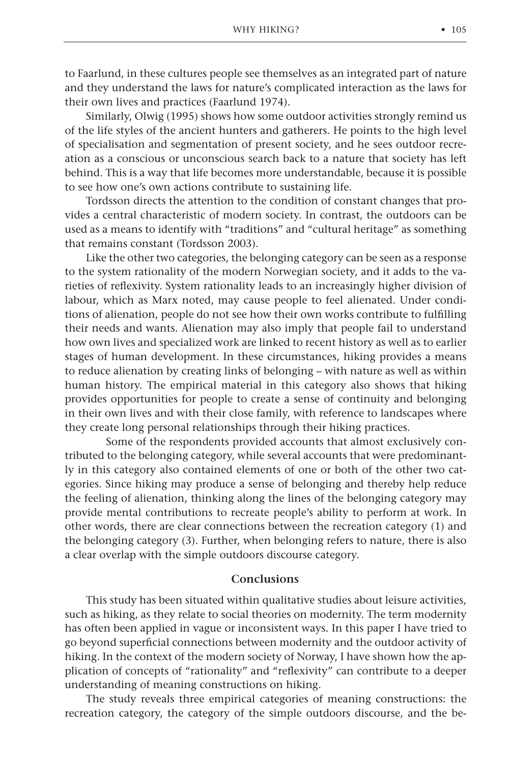to Faarlund, in these cultures people see themselves as an integrated part of nature and they understand the laws for nature's complicated interaction as the laws for their own lives and practices (Faarlund 1974).

Similarly, Olwig (1995) shows how some outdoor activities strongly remind us of the life styles of the ancient hunters and gatherers. He points to the high level of specialisation and segmentation of present society, and he sees outdoor recreation as a conscious or unconscious search back to a nature that society has left behind. This is a way that life becomes more understandable, because it is possible to see how one's own actions contribute to sustaining life.

Tordsson directs the attention to the condition of constant changes that provides a central characteristic of modern society. In contrast, the outdoors can be used as a means to identify with "traditions" and "cultural heritage" as something that remains constant (Tordsson 2003).

Like the other two categories, the belonging category can be seen as a response to the system rationality of the modern Norwegian society, and it adds to the varieties of reflexivity. System rationality leads to an increasingly higher division of labour, which as Marx noted, may cause people to feel alienated. Under conditions of alienation, people do not see how their own works contribute to fulfilling their needs and wants. Alienation may also imply that people fail to understand how own lives and specialized work are linked to recent history as well as to earlier stages of human development. In these circumstances, hiking provides a means to reduce alienation by creating links of belonging – with nature as well as within human history. The empirical material in this category also shows that hiking provides opportunities for people to create a sense of continuity and belonging in their own lives and with their close family, with reference to landscapes where they create long personal relationships through their hiking practices.

Some of the respondents provided accounts that almost exclusively contributed to the belonging category, while several accounts that were predominantly in this category also contained elements of one or both of the other two categories. Since hiking may produce a sense of belonging and thereby help reduce the feeling of alienation, thinking along the lines of the belonging category may provide mental contributions to recreate people's ability to perform at work. In other words, there are clear connections between the recreation category (1) and the belonging category (3). Further, when belonging refers to nature, there is also a clear overlap with the simple outdoors discourse category.

### **Conclusions**

This study has been situated within qualitative studies about leisure activities, such as hiking, as they relate to social theories on modernity. The term modernity has often been applied in vague or inconsistent ways. In this paper I have tried to go beyond superficial connections between modernity and the outdoor activity of hiking. In the context of the modern society of Norway, I have shown how the application of concepts of "rationality" and "reflexivity" can contribute to a deeper understanding of meaning constructions on hiking.

The study reveals three empirical categories of meaning constructions: the recreation category, the category of the simple outdoors discourse, and the be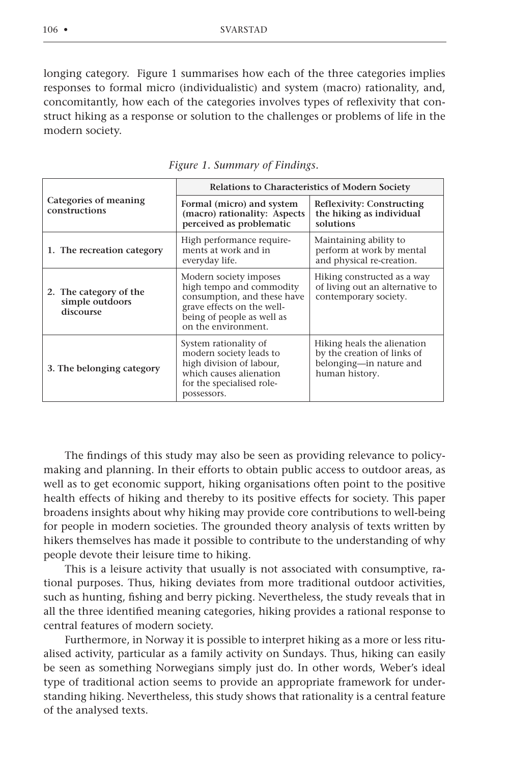longing category. Figure 1 summarises how each of the three categories implies responses to formal micro (individualistic) and system (macro) rationality, and, concomitantly, how each of the categories involves types of reflexivity that construct hiking as a response or solution to the challenges or problems of life in the modern society.

| Categories of meaning<br>constructions                 | Relations to Characteristics of Modern Society                                                                                                                       |                                                                                                         |
|--------------------------------------------------------|----------------------------------------------------------------------------------------------------------------------------------------------------------------------|---------------------------------------------------------------------------------------------------------|
|                                                        | Formal (micro) and system<br>(macro) rationality: Aspects<br>perceived as problematic                                                                                | <b>Reflexivity: Constructing</b><br>the hiking as individual<br>solutions                               |
| 1. The recreation category                             | High performance require-<br>ments at work and in<br>everyday life.                                                                                                  | Maintaining ability to<br>perform at work by mental<br>and physical re-creation.                        |
| 2. The category of the<br>simple outdoors<br>discourse | Modern society imposes<br>high tempo and commodity<br>consumption, and these have<br>grave effects on the well-<br>being of people as well as<br>on the environment. | Hiking constructed as a way<br>of living out an alternative to<br>contemporary society.                 |
| 3. The belonging category                              | System rationality of<br>modern society leads to<br>high division of labour,<br>which causes alienation<br>for the specialised role-<br>possessors.                  | Hiking heals the alienation<br>by the creation of links of<br>belonging-in nature and<br>human history. |

*Figure 1. Summary of Findings.*

The findings of this study may also be seen as providing relevance to policymaking and planning. In their efforts to obtain public access to outdoor areas, as well as to get economic support, hiking organisations often point to the positive health effects of hiking and thereby to its positive effects for society. This paper broadens insights about why hiking may provide core contributions to well-being for people in modern societies. The grounded theory analysis of texts written by hikers themselves has made it possible to contribute to the understanding of why people devote their leisure time to hiking.

This is a leisure activity that usually is not associated with consumptive, rational purposes. Thus, hiking deviates from more traditional outdoor activities, such as hunting, fishing and berry picking. Nevertheless, the study reveals that in all the three identified meaning categories, hiking provides a rational response to central features of modern society.

Furthermore, in Norway it is possible to interpret hiking as a more or less ritualised activity, particular as a family activity on Sundays. Thus, hiking can easily be seen as something Norwegians simply just do. In other words, Weber's ideal type of traditional action seems to provide an appropriate framework for understanding hiking. Nevertheless, this study shows that rationality is a central feature of the analysed texts.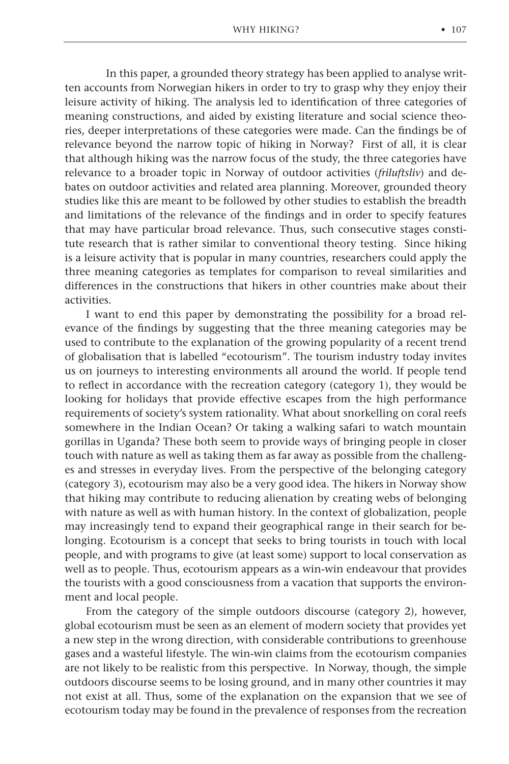In this paper, a grounded theory strategy has been applied to analyse written accounts from Norwegian hikers in order to try to grasp why they enjoy their leisure activity of hiking. The analysis led to identification of three categories of meaning constructions, and aided by existing literature and social science theories, deeper interpretations of these categories were made. Can the findings be of relevance beyond the narrow topic of hiking in Norway? First of all, it is clear that although hiking was the narrow focus of the study, the three categories have relevance to a broader topic in Norway of outdoor activities (*friluftsliv*) and debates on outdoor activities and related area planning. Moreover, grounded theory studies like this are meant to be followed by other studies to establish the breadth and limitations of the relevance of the findings and in order to specify features that may have particular broad relevance. Thus, such consecutive stages constitute research that is rather similar to conventional theory testing. Since hiking is a leisure activity that is popular in many countries, researchers could apply the three meaning categories as templates for comparison to reveal similarities and differences in the constructions that hikers in other countries make about their activities.

I want to end this paper by demonstrating the possibility for a broad relevance of the findings by suggesting that the three meaning categories may be used to contribute to the explanation of the growing popularity of a recent trend of globalisation that is labelled "ecotourism". The tourism industry today invites us on journeys to interesting environments all around the world. If people tend to reflect in accordance with the recreation category (category 1), they would be looking for holidays that provide effective escapes from the high performance requirements of society's system rationality. What about snorkelling on coral reefs somewhere in the Indian Ocean? Or taking a walking safari to watch mountain gorillas in Uganda? These both seem to provide ways of bringing people in closer touch with nature as well as taking them as far away as possible from the challenges and stresses in everyday lives. From the perspective of the belonging category (category 3), ecotourism may also be a very good idea. The hikers in Norway show that hiking may contribute to reducing alienation by creating webs of belonging with nature as well as with human history. In the context of globalization, people may increasingly tend to expand their geographical range in their search for belonging. Ecotourism is a concept that seeks to bring tourists in touch with local people, and with programs to give (at least some) support to local conservation as well as to people. Thus, ecotourism appears as a win-win endeavour that provides the tourists with a good consciousness from a vacation that supports the environment and local people.

From the category of the simple outdoors discourse (category 2), however, global ecotourism must be seen as an element of modern society that provides yet a new step in the wrong direction, with considerable contributions to greenhouse gases and a wasteful lifestyle. The win-win claims from the ecotourism companies are not likely to be realistic from this perspective. In Norway, though, the simple outdoors discourse seems to be losing ground, and in many other countries it may not exist at all. Thus, some of the explanation on the expansion that we see of ecotourism today may be found in the prevalence of responses from the recreation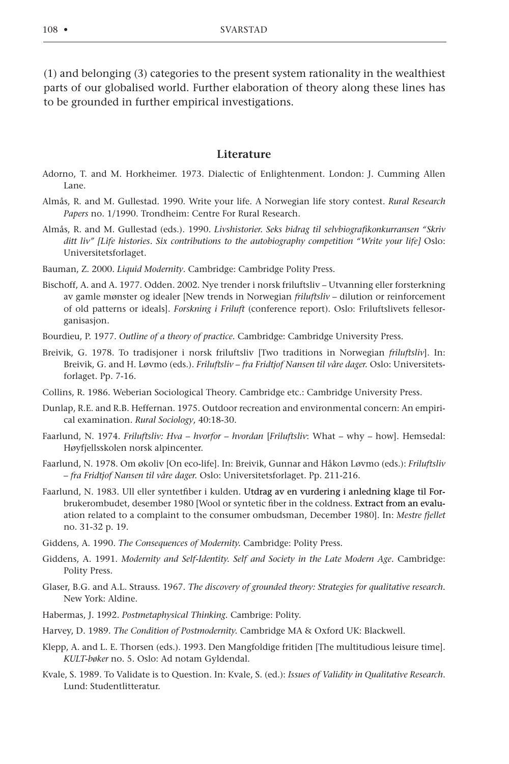(1) and belonging (3) categories to the present system rationality in the wealthiest parts of our globalised world. Further elaboration of theory along these lines has to be grounded in further empirical investigations.

### **Literature**

- Adorno, T. and M. Horkheimer. 1973. Dialectic of Enlightenment. London: J. Cumming Allen Lane.
- Almås, R. and M. Gullestad. 1990. Write your life. A Norwegian life story contest. *Rural Research Papers* no. 1/1990. Trondheim: Centre For Rural Research.
- Almås, R. and M. Gullestad (eds.). 1990. *Livshistorier. Seks bidrag til selvbiografikonkurransen "Skriv ditt liv" [Life histories. Six contributions to the autobiography competition "Write your life]* Oslo: Universitetsforlaget.
- Bauman, Z. 2000. *Liquid Modernity*. Cambridge: Cambridge Polity Press.
- Bischoff, A. and A. 1977. Odden. 2002. Nye trender i norsk friluftsliv Utvanning eller forsterkning av gamle mønster og idealer [New trends in Norwegian *friluftsliv* – dilution or reinforcement of old patterns or ideals]. *Forskning i Friluft* (conference report). Oslo: Friluftslivets fellesorganisasjon.
- Bourdieu, P. 1977. *Outline of a theory of practice.* Cambridge: Cambridge University Press.
- Breivik, G. 1978. To tradisjoner i norsk friluftsliv [Two traditions in Norwegian *friluftsliv*]. In: Breivik, G. and H. Løvmo (eds.). *Friluftsliv – fra Fridtjof Nansen til våre dager.* Oslo: Universitetsforlaget. Pp. 7-16.
- Collins, R. 1986. Weberian Sociological Theory. Cambridge etc.: Cambridge University Press.
- Dunlap, R.E. and R.B. Heffernan. 1975. Outdoor recreation and environmental concern: An empirical examination. *Rural Sociology*, 40:18-30.
- Faarlund, N. 1974. *Friluftsliv: Hva hvorfor hvordan* [*Friluftsliv*: What why how]. Hemsedal: Høyfjellsskolen norsk alpincenter.
- Faarlund, N. 1978. Om økoliv [On eco-life]. In: Breivik, Gunnar and Håkon Løvmo (eds.): *Friluftsliv – fra Fridtjof Nansen til våre dager.* Oslo: Universitetsforlaget. Pp. 211-216.
- Faarlund, N. 1983. Ull eller syntetfiber i kulden. Utdrag av en vurdering i anledning klage til Forbrukerombudet, desember 1980 [Wool or syntetic fiber in the coldness. Extract from an evaluation related to a complaint to the consumer ombudsman, December 1980]. In: *Mestre fjellet* no. 31-32 p. 19.
- Giddens, A. 1990. *The Consequences of Modernity.* Cambridge: Polity Press.
- Giddens, A. 1991. *Modernity and Self-Identity. Self and Society in the Late Modern Age.* Cambridge: Polity Press.
- Glaser, B.G. and A.L. Strauss. 1967*. The discovery of grounded theory: Strategies for qualitative research.* New York: Aldine.
- Habermas, J. 1992. *Postmetaphysical Thinking.* Cambrige: Polity.
- Harvey, D. 1989. *The Condition of Postmodernity.* Cambridge MA & Oxford UK: Blackwell.
- Klepp, A. and L. E. Thorsen (eds.). 1993. Den Mangfoldige fritiden [The multitudious leisure time]. *KULT-bøker* no. 5. Oslo: Ad notam Gyldendal.
- Kvale, S. 1989. To Validate is to Question. In: Kvale, S. (ed.): *Issues of Validity in Qualitative Research*. Lund: Studentlitteratur.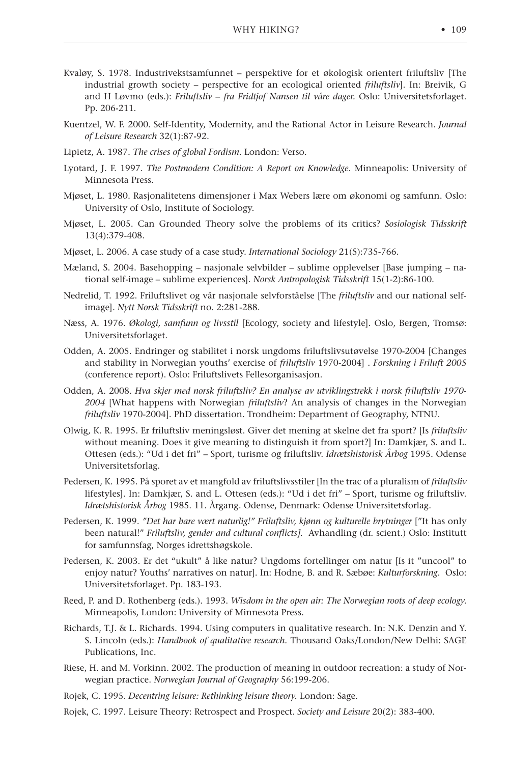- Kvaløy, S. 1978. Industrivekstsamfunnet perspektive for et økologisk orientert friluftsliv [The industrial growth society – perspective for an ecological oriented *friluftsliv*]. In: Breivik, G and H Løvmo (eds.): *Friluftsliv – fra Fridtjof Nansen til våre dager.* Oslo: Universitetsforlaget. Pp. 206-211.
- Kuentzel, W. F. 2000. Self-Identity, Modernity, and the Rational Actor in Leisure Research. *Journal of Leisure Research* 32(1):87-92.
- Lipietz, A. 1987. *The crises of global Fordism.* London: Verso.
- Lyotard, J. F. 1997. *The Postmodern Condition: A Report on Knowledge*. Minneapolis: University of Minnesota Press.
- Mjøset, L. 1980. Rasjonalitetens dimensjoner i Max Webers lære om økonomi og samfunn. Oslo: University of Oslo, Institute of Sociology.
- Mjøset, L. 2005. Can Grounded Theory solve the problems of its critics? *Sosiologisk Tidsskrift* 13(4):379-408.
- Mjøset, L. 2006. A case study of a case study. *International Sociology* 21(5):735-766.
- Mæland, S. 2004. Basehopping nasjonale selvbilder sublime opplevelser [Base jumping national self-image – sublime experiences]. *Norsk Antropologisk Tidsskrift* 15(1-2):86-100.
- Nedrelid, T. 1992. Friluftslivet og vår nasjonale selvforståelse [The *friluftsliv* and our national selfimage]. *Nytt Norsk Tidsskrift* no. 2:281-288.
- Næss, A. 1976. *Økologi, samfunn og livsstil* [Ecology, society and lifestyle]. Oslo, Bergen, Tromsø: Universitetsforlaget.
- Odden, A. 2005. Endringer og stabilitet i norsk ungdoms friluftslivsutøvelse 1970-2004 [Changes and stability in Norwegian youths' exercise of *friluftsliv* 1970-2004] . *Forskning i Friluft 2005*  (conference report). Oslo: Friluftslivets Fellesorganisasjon.
- Odden, A. 2008. *Hva skjer med norsk friluftsliv? En analyse av utviklingstrekk i norsk friluftsliv 1970- 2004* [What happens with Norwegian *friluftsliv*? An analysis of changes in the Norwegian *friluftsliv* 1970-2004]. PhD dissertation. Trondheim: Department of Geography, NTNU.
- Olwig, K. R. 1995. Er friluftsliv meningsløst. Giver det mening at skelne det fra sport? [Is *friluftsliv* without meaning. Does it give meaning to distinguish it from sport?] In: Damkjær, S. and L. Ottesen (eds.): "Ud i det fri" – Sport, turisme og friluftsliv. *Idrætshistorisk Årbog* 1995. Odense Universitetsforlag.
- Pedersen, K. 1995. På sporet av et mangfold av friluftslivsstiler [In the trac of a pluralism of *friluftsliv* lifestyles]. In: Damkjær, S. and L. Ottesen (eds.): "Ud i det fri" – Sport, turisme og friluftsliv. *Idrætshistorisk Årbog* 1985. 11. Årgang. Odense, Denmark: Odense Universitetsforlag.
- Pedersen, K. 1999. "Det har bare vært naturlig!" Friluftsliv, kjønn og kulturelle brytninger ["It has only been natural!" *Friluftsliv, gender and cultural conflicts].* Avhandling (dr. scient.) Oslo: Institutt for samfunnsfag, Norges idrettshøgskole.
- Pedersen, K. 2003. Er det "ukult" å like natur? Ungdoms fortellinger om natur [Is it "uncool" to enjoy natur? Youths' narratives on natur]. In: Hodne, B. and R. Sæbøe: *Kulturforskning*. Oslo: Universitetsforlaget. Pp. 183-193.
- Reed, P. and D. Rothenberg (eds.). 1993. *Wisdom in the open air: The Norwegian roots of deep ecology.* Minneapolis, London: University of Minnesota Press.
- Richards, T.J. & L. Richards. 1994. Using computers in qualitative research. In: N.K. Denzin and Y. S. Lincoln (eds.): *Handbook of qualitative research*. Thousand Oaks/London/New Delhi: SAGE Publications, Inc.
- Riese, H. and M. Vorkinn. 2002. The production of meaning in outdoor recreation: a study of Norwegian practice. *Norwegian Journal of Geography* 56:199-206.
- Rojek, C. 1995. *Decentring leisure: Rethinking leisure theory.* London: Sage.
- Rojek, C. 1997. Leisure Theory: Retrospect and Prospect. *Society and Leisure* 20(2): 383-400.